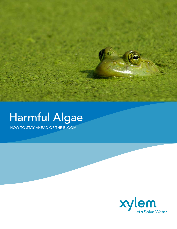

# Harmful Algae

HOW TO STAY AHEAD OF THE BLOOM

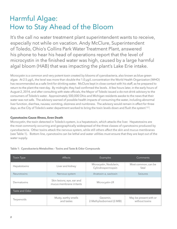# Harmful Algae: How to Stay Ahead of the Bloom

It's the call no water treatment plant superintendent wants to receive, especially not while on vacation. Andy McClure, Superintendent of Toledo, Ohio's Collins Park Water Treatment Plant, answered his phone to hear his head of operations report that the level of microcystin in the finished water was high, caused by a large harmful algal bloom (HAB) that was impacting the plant's Lake Erie intake.

Microcystin is a common and very potent toxin created by blooms of cyanobacteria, also known as blue-green algae. At 2.5 µg/L, the level was more than double the 1.0 µg/L concentration the World Health Organization (WHO) has recommended as a safe limit for drinking water. McClure kept in close contact with his staff, as he prepared to return to the plant the next day. By midnight, they had confirmed the levels. A few hours later, in the early hours of August 2, 2014, and after consulting with state officials, the Mayor of Toledo issued a do-not-drink advisory to the consumers of Toledo's water. Approximately 500,000 Ohio and Michigan residents awoke to the news that their water was not safe. The advisory warned of possible health impacts of consuming the water, including abnormal liver function, diarrhea, nausea, vomiting, dizziness and numbness. The advisory would remain in effect for three days, as the City of Toledo's water department worked to bring the toxin levels down and flush the system<sup>1,2,3</sup>.

#### **Cyanotoxins Cause Illness, Even Death**

Microcystin, the toxin detected in Toledo's system, is a hepatotoxin, which attacks the liver. Hepatotoxins are the most commonly occurring and geographically widespread of the three classes of cyanotoxins produced by cyanobacteria. Other toxins attack the nervous system, while still others affect the skin and mucus membranes (see Table 1). Bottom line, cyanotoxins can be lethal and water utilities must ensure that they are kept out of the water supply.

| <b>Toxin Type</b>  | <b>Affects</b>                                         | Examples                                      | Comments                                 |
|--------------------|--------------------------------------------------------|-----------------------------------------------|------------------------------------------|
| Hepatotoxins       | Liver and kidney                                       | Microcystin, Nodularin,<br>Cylindrospermopsin | Most common, can be<br>fatal             |
| <b>Neurotoxins</b> | Nervous system                                         | Anatoxin-a, saxitoxin                         | <b>Seizures</b>                          |
| Dermatoxins        | Skin lesions, eye, ear and<br>mucus membrane irritants | Microcystin-LR                                |                                          |
| Taste and Odor     |                                                        |                                               |                                          |
| Terpenoids         | Musty, earthy smells<br>and tastes                     | Geosmin,<br>2-Methylisoborneol (2-MIB)        | May be present with or<br>without toxins |

#### Table 1: Cyanobacteria Metabolites – Toxins and Taste & Odor Compounds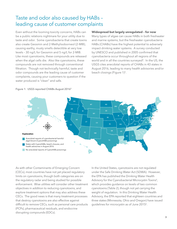### Taste and odor also caused by HABs – leading cause of customer complaints

Even without the looming toxicity concerns, HABs can be a public relations nightmare for your utility due to taste and odor. Some cyanobacteria that create toxins also create Geosmin and 2-Methylisoborneol (2-MIB), causing earthy, musty smells detectible at very low levels – 30 ng/L for Geosmin and 5 ng/L for 2-MIB. Like most cyanotoxins, these compounds are released when the algal cells die. Also like cyanotoxins, these compounds are not removed through conventional filtration. Though not technically harmful, taste and odor compounds are the leading cause of customer complaints, causing your customers to question if the water produced is "clean" and safe.

#### **Widespread but largely unregulated – for now**

Many types of algae can cause HABs in both freshwater and marine systems, but the freshwater cyanobacteria HABs (CHABs) have the highest potential to adversely impact drinking water systems. A survey conducted by UNESCO and published in 2005 confirmed that cyanobacteria occur throughout all regions of the world and in all the countries surveyed<sup>4</sup>. In the US, the USGS cites anecdotal reports of CHABs in 43 states in August 2016, leading to many health advisories and/or beach closings (Figure 1)<sup>5</sup>.



#### Figure 1: USGS reported CHABs August 20165

As with other Contaminants of Emerging Concern (CECs), most countries have not yet placed regulatory limits on cyanotoxins, though both categories are on the regulatory radar and being studied for possible enforcement. Wise utilities will consider other treatment objectives in addition to reducing cyanotoxins, and explore treatment options that may also address these CECs. The good news is that many treatment processes that destroy cyanotoxins are also effective against difficult to remove CECs, such as personal care products (PCPs), pharmaceutical residuals, and endocrine disrupting compounds (EDCs).

In the United States, cyanotoxins are not regulated under the Safe Drinking Water Act (SDWA). However, the EPA has published the Drinking Water Health Advisory for the Cyanobacterial Microcystin Toxins<sup>6</sup>, which provides guidance on levels of two common cyanotoxins (Table 2), though not yet carrying the weight of regulation. In this Drinking Water Health Advisory, the EPA reported that eighteen countries and three states (Minnesota, Ohio and Oregon) have issued guidelines for microcystin as of June 2015<sup>6</sup>.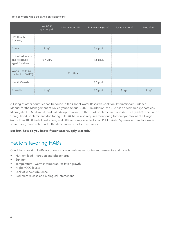#### Table 2: World-wide guidance on cyanotoxins

|                                                              | Cylindor-<br>spermopsin | Microcystin - LR | Microcystin (total) | Saxitoxin (total) | Nodularin   |
|--------------------------------------------------------------|-------------------------|------------------|---------------------|-------------------|-------------|
| EPA Health<br>Advisory                                       |                         |                  |                     |                   |             |
| <b>Adults</b>                                                | $3 \mu g/L$             |                  | $1.6 \mu g/L$       |                   |             |
| <b>Bottle Fed Infants</b><br>and Preschool-<br>aged Children | $0.7 \mu g/L$           |                  | $1.6 \mu g/L$       |                   |             |
| World Health Or-<br>ganization (WHO)                         |                         | $0.7 \mu g/L$    |                     |                   |             |
| Health Canada                                                |                         |                  | $1.5 \mu g/L$       |                   |             |
| Australia                                                    | $1 \mu g/L$             |                  | $1.3 \mu g/L$       | $3 \mu g/L$       | $3 \mu g/L$ |

A listing of other countries can be found in the Global Water Research Coalition, International Guidance Manual for the Management of Toxic Cyanobacteria, 20097. In addition, the EPA has added three cyanotoxins, Microcystin-LR, Anatoxin-A, and Cylindrospermopsin, to the Third Contaminant Candidate List (CCL3). The Fourth Unregulated Contaminant Monitoring Rule, UCMR 4, also requires monitoring for ten cyanotoxins at all large (more than 10,000 retail customers) and 800 randomly selected small Public Water Systems with surface water sources or groundwater under the direct influence of surface water.

#### **But first, how do you know if your water supply is at risk?**

### Factors favoring HABs

Conditions favoring HABs occur seasonally in fresh water bodies and reservoirs and include:

- Nutrient load nitrogen and phosphorus
- Sunlight
- Temperature warmer temperatures favor growth
- Higher CO2 levels
- Lack of wind, turbulence
- Sediment release and biological interactions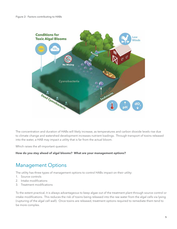

The concentration and duration of HABs will likely increase, as temperatures and carbon dioxide levels rise due to climate change and watershed development increases nutrient loadings. Through transport of toxins released into the water, a HAB may impact a utility that is far from the actual bloom.

Which raises the all-important question:

**How do you stay ahead of algal blooms? What are your management options?**

### Management Options

The utility has three types of management options to control HABs impact on their utility:

- 1. Source controls
- 2. Intake modifications
- 3. Treatment modifications

To the extent practical, it is always advantageous to keep algae out of the treatment plant through source control or intake modifications. This reduces the risk of toxins being released into the raw water from the algal cells via lysing (rupturing of the algal cell wall). Once toxins are released, treatment options required to remediate them tend to be more complex.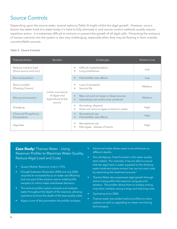### Source Controls

Depending upon the source water, several options (Table 3) might inhibit the algal growth. However, once a bloom has taken hold of a water body it is hard to fully eliminate it, and source control methods usually require repetitive action. It is extremely difficult to remove or prevent the growth of all algal cells. Preventing the entrance of excess nutrients into the system is also very challenging, especially when they may be flowing in from outside, uncontrollable sources.

#### Table 3: Source Controls

| <b>Potential Action</b>                        | <b>Benefits</b>                                                  | Challenges                                                                                | <b>Relative Cost</b> |
|------------------------------------------------|------------------------------------------------------------------|-------------------------------------------------------------------------------------------|----------------------|
| Reduce nutrient load<br>(Point-source and non) |                                                                  | Difficult implementation<br>Long timeframes<br>٠                                          | Low                  |
| Bio-manipulation                               |                                                                  | Fish/wildlife side effects<br>$\bullet$                                                   | Low                  |
| Block sunlight<br>(Floating Covers)            | Limits occurrence<br>of algae and<br>byproducts at the<br>source | Loss of recreation<br>Service life<br>٠                                                   | Medium               |
| Mixing and aeration                            |                                                                  | May not work on large or deep sources<br>Operating cost unless solar powered<br>$\bullet$ | Medium               |
| Dredging                                       |                                                                  | Permitting, disposal<br>٠<br>Does not remove algae or toxins in water<br>٠                | High                 |
| <b>Chemical Phosphorus</b><br>Precipitation    |                                                                  | Recreational use<br>$\bullet$<br>Fish/wildlife side effects<br>$\bullet$                  | High                 |
| Algicides                                      |                                                                  | Recreational use<br>Kills algae - release of toxins<br>٠                                  | High                 |

**Case Study:** Thames Water – Using Reservoir Profiler to Maximize Water Quality, Reduce Algal Load and Costs

- Queen Mother Reservoir, built in 1976.
- Drought between November 2004 and July 2006 required an increased focus on water use efficiency and one part of the solution was to install profile samplers to inform water withdrawal decisions.
- The vertical profiler system samples and analyzes water throughout the depth of the reservoir, allowing operators to know the depth of the best quality water.
- Algae is one of the parameters the profiler analyzes.
- Advanced intake allows water to be withdrawn at different depths.
- Terry Bridgman, Field Scientist in the water quality team stated, "For example, if we are able to ensure that the algal load in water supplied to the drinking water treatment plants remain low, we can save costs by optimizing the treatment process."
- Thames Water also suppresses algal growth through active mixing within the reservoir using jets and aeration. The profiler allows them to employ mixing only when needed, saving energy and reducing costs.
- Operating since 2006.
- Thames water has added vertical profilers to other systems as well as upgrading to newer monitoring technologies.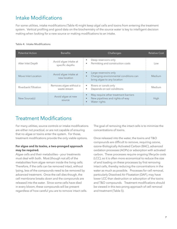### Intake Modifications

For some utilities, intake modifications (Table 4) might keep algal cells and toxins from entering the treatment system. Vertical profiling and good data on the biochemistry of the source water is key to intelligent decision making when looking for a new source or making modifications to an intake.

#### Table 4: Intake Modifications

| <b>Potential Action</b> | <b>Benefits</b>                          | Challenges                                                                                           | <b>Relative Cost</b> |
|-------------------------|------------------------------------------|------------------------------------------------------------------------------------------------------|----------------------|
| Alter Inlet Depth       | Avoid algae intake at<br>specific depths | Deep reservoirs only<br>Permitting and construction costs<br>$\bullet$                               | Low                  |
| Move Inlet Location     | Avoid algae intake at<br>new location    | Large reservoirs only<br>Changing environmental conditions can<br>bring algae to any location        | Medium               |
| Riverbank Filtration    | Removes algae without a<br>waste stream  | Rivers or canals only<br>$\bullet$<br>Depends on soil conditions                                     | Medium               |
| New Source(s)           | Avoid algae at new<br>source             | May require other treatment barriers<br>New pipelines and rights-of-way<br>$\bullet$<br>Water rights | High                 |

### Treatment Modifications

For many utilities, source controls or intake modifications are either not practical, or are not capable of ensuring that no algae or toxins enter the system. For those, treatment modifications provide the only viable options.

#### **For algae and its toxins, a two-pronged approach may be required.**

Algae cells and their metabolites – your treatments must deal with both. Most (though not all) of the metabolites from algae remain inside the living cells. Therefore, if the cells can be removed intact, without lysing, less of the compounds need to be removed by advanced treatment. Once the cell dies though, the cell membrane breaks down and the compounds are released into the water. Since some cells have died in every bloom, these compounds will be present regardless of how careful you are to remove intact cells. The goal of removing the intact cells is to minimize the concentrations of toxins.

Once released into the water, the toxins and T&O compounds are difficult to remove, requiring ozone, ozone-Biologically Activated Carbon (BAC), advanced oxidation processes (AOPs) or adsorption with activated carbon. These processes require ongoing lifecycle costs (LCC), so it is often more economical to reduce the size of and loading on these processes by first removing intact cells, thereby reducing the concentrations in the water as much as possible. Processes for cell removal, particularly Dissolved Air Floatation (DAF), may have lower LCC than destruction or adsorption of the toxins and T&O compounds. Treatment modifications should be viewed in this two-prong approach of cell removal and treatment (Table 5).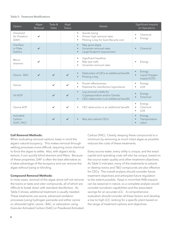#### Table 5: Treatment Modifications

| Option                                     | Algae<br>Removal | Taste &<br>Odor | Algal<br><b>Toxins</b>     | <b>Details</b>                                                                                                                   | Significant Impacts<br>to Operations                                    |
|--------------------------------------------|------------------|-----------------|----------------------------|----------------------------------------------------------------------------------------------------------------------------------|-------------------------------------------------------------------------|
| <b>Dissolved</b><br>Air Flotation<br>(DAF) | $\checkmark$     |                 |                            | Avoids lysing<br>$\bullet$<br>Proven high removal rates<br>$\bullet$<br>Piloting is key for best lifecycle cost<br>$\bullet$     | Chemical<br>Energy                                                      |
| Clarifiers<br>or Plate<br>Settlers         | $\checkmark$     |                 |                            | May grow algae<br>$\bullet$<br>Uncertain removal rates<br>$\bullet$<br>Large footprint requirement<br>$\bullet$                  | Chemical                                                                |
| Micro-<br>strainers                        | $\checkmark$     |                 |                            | Significant headloss<br>$\bullet$<br>May lyse cells<br>$\bullet$<br>Uncertain removal rates<br>$\bullet$                         | Energy                                                                  |
| Ozone - BAC                                | $\checkmark$     | $\checkmark$    | $\boldsymbol{\mathscr{L}}$ | Destruction of CECs an additional benefit<br>$\bullet$<br>Piloting is key<br>$\bullet$                                           | Energy<br>$\bullet$<br>Liquid Oxygen<br>$\bullet$<br>supply (LOX)       |
| Ozone                                      |                  | $\checkmark$    | $\checkmark$               | Proven effectiveness<br>$\bullet$<br>Potential for disinfection byproducts<br>$\bullet$                                          | Energy<br>$\bullet$<br><b>LOX</b><br>$\bullet$                          |
| <b>UV AOP</b>                              |                  | $\checkmark$    | $\checkmark$               | Log removal credits for<br>$\bullet$<br>Cryptosporidium and/or Giardia<br>CECs destruction is an additional benefit<br>$\bullet$ | Energy<br>$\bullet$<br>Chemical                                         |
| Ozone AOP                                  |                  | $\mathbf{v}$    | $\checkmark$               | CEC destruction is an additional benefit<br>$\bullet$                                                                            | Energy<br>$\bullet$<br>Chemical<br>$\bullet$<br><b>LOX</b><br>$\bullet$ |
| Activated<br>Carbon<br>(GAC, PAC)          |                  | $\mathbf{v}$    | $\checkmark$               | May also adsorb CECs<br>$\bullet$                                                                                                | Energy<br>$\bullet$<br>Transportation<br>Labor<br>$\bullet$             |

#### **Cell Removal Methods:**

When evaluating removal options, keep in mind the algae's natural buoyancy. This makes removal through settling processes more difficult, requiring more chemical to force the algae to settle. Also, with algae's sticky texture, it can quickly blind strainers and filters. Because of these properties, DAF is often the best alternative as it takes advantage of the buoyancy and can remove the algae without lysing or blinding.

#### **Compound Removal Methods:**

In most cases, removal of the algae alone will not remove the toxins or taste and odor compounds, all of which are difficult to break down with standard disinfection. As Table 5 shows, additional treatment is usually needed. These treatments use ozone, advanced oxidation processes (using hydrogen peroxide and either ozone or ultraviolet light), ozone - BAC, or adsorption using Granular Activated Carbon (GAC) or Powdered Activated Carbon (PAC). Clearly, keeping these compounds to a minimum by removing as much intact algae as possible reduces the costs of these treatments.

Every source water, every utility is unique, and the exact capital and operating costs will also be unique, based on the source water quality and other treatment objectives. As Table 5 indicates, many of the treatments to adsorb or destroy toxins and T&O compounds are also effective for CECs. The overall analysis should consider future treatment objectives and anticipate future regulation to the extent possible. Keep in mind that HAB impacts can be seasonal in nature, so a complete analysis would consider turndown capabilities and the associated savings for an accurate LCC. A comprehensive evaluation should consider all these factors and develop a low to high LCC ranking for a specific plant based on the range of treatment options and objectives.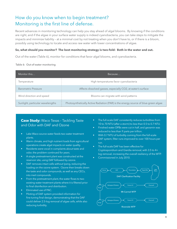### How do you know when to begin treatment? Monitoring is the first line of defense.

Recent advances in monitoring technology can help you stay ahead of algal blooms. By knowing if the conditions are right, and if the algae in your surface water supply is indeed cyanobacteria, you can take steps to mitigate the impacts and minimize liability – at a minimal cost by not treating when you don't have to, or if there is a bloom, possibly using technology to locate and access raw water with lower concentrations of algae.

#### **So, what should you monitor? The best monitoring strategy is two-fold: Both in the water and out.**

Out of the water (Table 6), monitor for conditions that favor algal blooms, and cyanobacteria.

| Table 6: Out-of-water monitoring |  |
|----------------------------------|--|
|                                  |  |

| Monitor this                     | Because                                                                            |
|----------------------------------|------------------------------------------------------------------------------------|
| Temperature                      | High temperatures favor cyanobacteria                                              |
| <b>Barometric Pressure</b>       | Affects dissolved gasses, especially CO2, at water's surface                       |
| Wind direction and speed         | Blooms can migrate with wind patterns                                              |
| Sunlight, particular wavelengths | Photosynthetically Active Radiation (PAR) is the energy source of blue-green algae |

#### **Case Study:** Waco Texas – Tackling Taste and Odor with DAF and Ozone

- Lake Waco source water feeds two water treatment plants.
- Warm climate, and high nutrient loads from agricultural operations create algal impacts on water quality.
- Residents were vocal in complaints about taste and odor, the problem continued for years.
- A single pretreatment plant was constructed at the reservoir site, using DAF followed by ozone.
- DAF removes intact cells without lysing, reducing the loading on the ozone system. Ozone then breaks down the taste and odor compounds, as well as any CECs, into inert compounds.
- From the pretreatment plant, the water flows to two existing water treatment plants where it is filtered prior to final disinfection and distribution.
- Eliminated use of PAC.
- Piloting of DAF system provided information for fine tuning final design, demonstrating that the DAF could deliver 2.5-log removal of algae cells, while also reducing turbidity.
- The full-scale DAF consistently reduces turbidities from 10 to 70 NTU (after a storm) to less than 0.5 to 0.7 NTU.
- Finished water DPBs were cut in half, and geosmin was reduced to less than 9 parts per trillion.
- With 0.7 NTU of turbidity coming from the full-scale DAF system, filter runs improved to over 100 hours per run.
- The full-scale DAF has been effective for Cryptosporidium and Giardia removal, with 3.5 to 4+ log removal, increasing the overall resiliency of the WTP.
- Commissioned in July 2010.

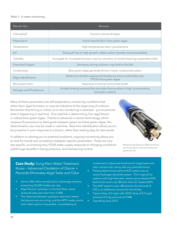#### Table 7: In water monitoring

| Monitor this            | Because                                                                                           |
|-------------------------|---------------------------------------------------------------------------------------------------|
| Chlorophyll             | Found in almost all algae                                                                         |
| Phytocyanin             | Found specifically in blue-green algae                                                            |
| Temperature             | High temperatures favor cyanobacteria                                                             |
| pH                      | Rising pH due to high growth; makes carbon dioxide more bioavailable                              |
| Turbidity               | Surrogate for increased biomass; may be indicative of nutrient-bearing suspended solids           |
| Dissolved Oxygen        | Decreases during a bloom; may lead to fish kills                                                  |
| Conductivity            | Blue-green algae generally thrive in lower conductivity waters                                    |
| Algae identification    | Determine whether pigments/turbidity are due to potentially toxic<br>(PTOX) blue-green algae      |
| Microcystin toxin       | Hazardous to human and animal health                                                              |
| Nitrogen and Phosphorus | Growth-limiting nutrients that stimulate blooms when in high concentrations<br>(eutrophic waters) |

Many of these parameters are self-explanatory, monitoring conditions that either favor algal formation or may be indicative of the beginning of a bloom. Remember that timing is critical, so in-situ monitoring is essential – you must know what is happening in real time. One vital link is determining if an algal bloom is indeed blue-green algae. Thanks to advances in sensor technology, which measure fluorescence to distinguish between green and blue-green algae, this determination can now be made in real time. Real time identification allows you to be proactive in your response to a bloom, rather than waiting days for test results.

In addition to alerting you to potential problems, ongoing monitoring allows you to look for trends and correlations between specific parameters. These are very site specific, so knowing how YOUR water supply responds to changing conditions yields huge benefits in being proactive, and maintaining control.



Multiple parameters for HAB monitoring can be bundled in the most advanced sensors by YSI.

**Case Study:** Sung-Nam Water Treatment, Korea – Advanced Oxidation of Ozone + Peroxide Eliminates Algal Taste and Odor

- Serves 300 million people plus a beverage industry producing 45,000 bottles per day.
- Algal blooms upstream in the Han-River cause seasonal taste and odor from 2-MIB.
- The distance between upstream reservoirs where the blooms are occurring, and the WTP, made source and intake options impossible, necessitating an

investment in advanced treatment to target taste and odor compounds, along with any potential toxins.

- Piloting determined optimal AOP system was an ozone-hydrogen peroxide system. This is typical for systems with high flowrates, where ozone-based AOPs tend to be more cost effective than UV- based AOPs.
- The AOP system is also effective for the removal of CECs, an additonal concern for this facility.
- Ozone dose of 2 mg/L with H2O2 dose of 0.5 mg/L achieves 0.5 log removal of 2-MIB
- Operating since 2012.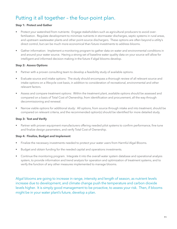### Putting it all together – the four-point plan.

#### **Step 1: Protect and Gather**

- Protect your watershed from nutrients: Engage stakeholders such as agricultural producers to avoid overfertilization. Regulate development to minimize nutrients in stormwater discharges, septic systems in rural areas, and upstream wastewater plants and other point-source dischargers. These options are often beyond a utility's direct control, but can be much more economical than future investments to address blooms.
- Gather information: Implement a monitoring program to gather data on water and environmental conditions in and around your water source. Having a strong set of baseline water quality data on your source will allow for intelligent and informed decision making in the future if algal blooms develop.

#### **Step 2: Assess Options**

- Partner with a proven consulting team to develop a feasibility study of available options.
- Evaluate source and intake options: The study should encompass a thorough review of all relevant source and intake options on a lifecycle cost basis, in addition to consideration of recreational, environmental and other relevant factors.
- Assess and compare treatment options: Within the treatment plant, available options should be assessed and compared on a basis of Total Cost of Ownership, from identification and procurement, all the way through decommissioning and renewal.
- Narrow viable options for additional study: All options, from source through intake and into treatment, should be compared on relevant criteria, and the recommended option(s) should be identified for more detailed study.

#### **Step 3: Test and Verify**

• Partner with proven equipment manufacturers offering needed pilot systems to confirm performance, fine tune and finalize design parameters, and verify Total Cost of Ownership.

#### **Step 4: Finalize, Budget and Implement**

- Finalize the necessary investments needed to protect your water users from Harmful Algal Blooms.
- Budget and obtain funding for the needed capital and operations investments.
- Continue the monitoring program. Integrate it into the overall water system database and operational analysis system, to provide information and trend analysis for operation and optimization of treatment systems, and to verify the function of any other measures implemented to manage blooms.

Algal blooms are going to increase in range, intensity and length of season, as nutrient levels increase due to development, and climate change push the temperature and carbon dioxide levels higher. It is simply good management to be proactive, to assess your risk. Then, if blooms might be in your water plant's future, develop a plan.